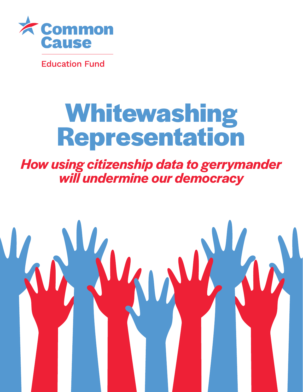

**Education Fund** 

# **Whitewashing Representation**

*How using citizenship data to gerrymander will undermine our democracy* 

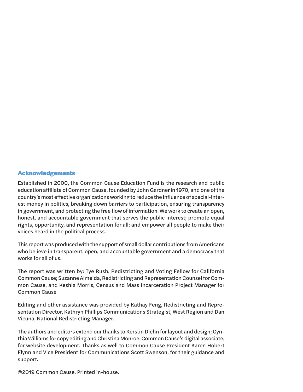#### **Acknowledgements**

Established in 2000, the Common Cause Education Fund is the research and public education affiliate of Common Cause, founded by John Gardner in 1970, and one of the country's most effective organizations working to reduce the influence of special-interest money in politics, breaking down barriers to participation, ensuring transparency in government, and protecting the free flow of information. We work to create an open, honest, and accountable government that serves the public interest; promote equal rights, opportunity, and representation for all; and empower all people to make their voices heard in the political process.

This report was produced with the support of small dollar contributions from Americans who believe in transparent, open, and accountable government and a democracy that works for all of us.

The report was written by: Tye Rush, Redistricting and Voting Fellow for California Common Cause; Suzanne Almeida, Redistricting and Representation Counsel for Common Cause, and Keshia Morris, Census and Mass Incarceration Project Manager for Common Cause

Editing and other assistance was provided by Kathay Feng, Redistricting and Representation Director, Kathryn Phillips Communications Strategist, West Region and Dan Vicuna, National Redistricting Manager.

The authors and editors extend our thanks to Kerstin Diehn for layout and design; Cynthia Williams for copy editing and Christina Monroe, Common Cause's digital associate, for website development. Thanks as well to Common Cause President Karen Hobert Flynn and Vice President for Communications Scott Swenson, for their guidance and support.

©2019 Common Cause. Printed in-house.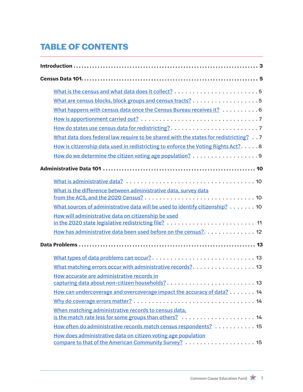# **TABLE OF CONTENTS**

|  | What are census blocks, block groups and census tracts? 5                            |  |
|--|--------------------------------------------------------------------------------------|--|
|  | What happens with census data once the Census Bureau receives it? 6                  |  |
|  |                                                                                      |  |
|  |                                                                                      |  |
|  | What data does federal law require to be shared with the states for redistricting? 7 |  |
|  | How is citizenship data used in redistricting to enforce the Voting Rights Act?8     |  |
|  |                                                                                      |  |
|  |                                                                                      |  |
|  |                                                                                      |  |
|  | What is the difference between administrative data, survey data                      |  |
|  | What sources of administrative data will be used to identify citizenship? 10         |  |
|  | How will administrative data on citizenship be used                                  |  |
|  | How has administrative data been used before on the census?. 12                      |  |
|  |                                                                                      |  |
|  |                                                                                      |  |
|  | What matching errors occur with administrative records?. 13                          |  |
|  | How accurate are administrative records in                                           |  |
|  | How can undercoverage and overcoverage impact the accuracy of data? 14               |  |
|  |                                                                                      |  |
|  | When matching administrative records to census data,                                 |  |
|  | How often do administrative records match census respondents? 15                     |  |
|  | How does administrative data on citizen voting age population                        |  |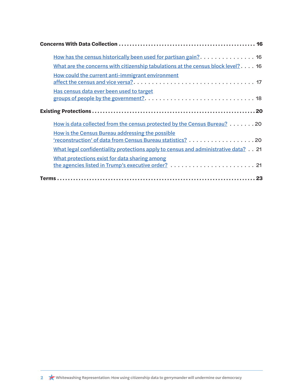| How has the census historically been used for partisan gain? 16                                                |  |
|----------------------------------------------------------------------------------------------------------------|--|
| What are the concerns with citizenship tabulations at the census block level? $\dots$ . 16                     |  |
| How could the current anti-immigrant environment                                                               |  |
| Has census data ever been used to target                                                                       |  |
|                                                                                                                |  |
| How is data collected from the census protected by the Census Bureau? 20                                       |  |
| How is the Census Bureau addressing the possible<br>'reconstruction' of data from Census Bureau statistics? 20 |  |
|                                                                                                                |  |
| What legal confidentiality protections apply to census and administrative data? 21                             |  |
| What protections exist for data sharing among                                                                  |  |
|                                                                                                                |  |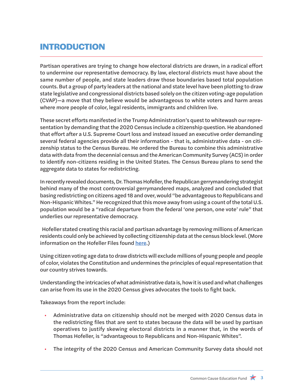# **INTRODUCTION**

Partisan operatives are trying to change how electoral districts are drawn, in a radical effort to undermine our representative democracy. By law, electoral districts must have about the same number of people, and state leaders draw those boundaries based total population counts. But a group of party leaders at the national and state level have been plotting to draw state legislative and congressional districts based solely on the citizen voting-age population (CVAP)—a move that they believe would be advantageous to white voters and harm areas where more people of color, legal residents, immigrants and children live.

These secret efforts manifested in the Trump Administration's quest to whitewash our representation by demanding that the 2020 Census include a citizenship question. He abandoned that effort after a U.S. Supreme Court loss and instead issued an executive order demanding several federal agencies provide all their information - that is, administrative data - on citizenship status to the Census Bureau. He ordered the Bureau to combine this administrative data with data from the decennial census and the American Community Survey (ACS) in order to identify non-citizens residing in the United States. The Census Bureau plans to send the aggregate data to states for redistricting.

In recently revealed documents, Dr. Thomas Hofeller, the Republican gerrymandering strategist behind many of the most controversial gerrymandered maps, analyzed and concluded that basing redistricting on citizens aged 18 and over, would "be advantageous to Republicans and Non-Hispanic Whites." He recognized that this move away from using a count of the total U.S. population would be a "radical departure from the federal 'one person, one vote' rule" that underlies our representative democracy.

 Hofeller stated creating this racial and partisan advantage by removing millions of American residents could only be achieved by collecting citizenship data at the census block level. (More information on the Hofeller Files found [here](https://www.commoncause.org/resource/the-hofeller-files/).)

Using citizen voting age data to draw districts will exclude millions of young people and people of color, violates the Constitution and undermines the principles of equal representation that our country strives towards.

Understanding the intricacies of what administrative data is, how it is used and what challenges can arise from its use in the 2020 Census gives advocates the tools to fight back.

Takeaways from the report include:

- Administrative data on citizenship should not be merged with 2020 Census data in the redistricting files that are sent to states because the data will be used by partisan operatives to justify skewing electoral districts in a manner that, in the words of Thomas Hofeller, is "advantageous to Republicans and Non-Hispanic Whites".
- The integrity of the 2020 Census and American Community Survey data should not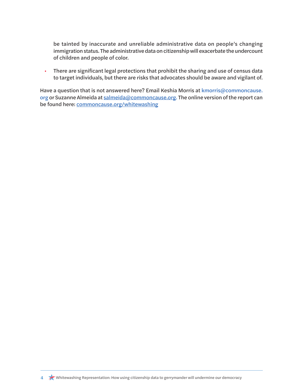be tainted by inaccurate and unreliable administrative data on people's changing immigration status. The administrative data on citizenship will exacerbate the undercount of children and people of color.

• There are significant legal protections that prohibit the sharing and use of census data to target individuals, but there are risks that advocates should be aware and vigilant of.

Have a question that is not answered here? Email Keshia Morris at [kmorris@commoncause.](mailto:kmorris@commoncause.org) [org](mailto:kmorris@commoncause.org) or Suzanne Almeida at [salmeida@commoncause.org.](mailto:salmeida@commoncause.org) The online version of the report can be found here: [commoncause.org/whitewashing](http://commoncause.org/whitewashing)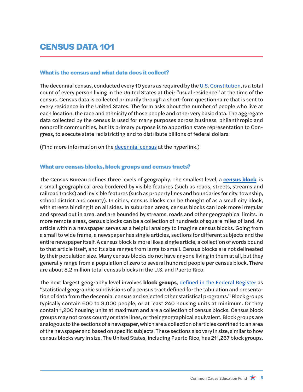# **CENSUS DATA 101**

#### <span id="page-6-0"></span>**What is the census and what data does it collect?**

The decennial census, conducted every 10 years as required by the [U.S. Constitution](https://www.census.gov/history/pdf/Article_1_Section_2.pdf), is a total count of every person living in the United States at their "usual residence" at the time of the census. Census data is collected primarily through a short-form questionnaire that is sent to every residence in the United States. The form asks about the number of people who live at each location, the race and ethnicity of those people and other very basic data. The aggregate data collected by the census is used for many purposes across business, philanthropic and nonprofit communities, but its primary purpose is to apportion state representation to Congress, to execute state redistricting and to distribute billions of federal dollars.

(Find more information on the [decennial census](https://www.census.gov/history/www/programs/demographic/decennial_census.html) at the hyperlink.)

#### <span id="page-6-1"></span>**What are census blocks, block groups and census tracts?**

The Census Bureau defines three levels of geography. The smallest level, a **[census block](https://www.census.gov/newsroom/blogs/random-samplings/2011/07/what-are-census-blocks.html)**, is a small geographical area bordered by visible features (such as roads, streets, streams and railroad tracks) and invisible features (such as property lines and boundaries for city, township, school district and county). In cities, census blocks can be thought of as a small city block, with streets binding it on all sides. In suburban areas, census blocks can look more irregular and spread out in area, and are bounded by streams, roads and other geographical limits. In more remote areas, census blocks can be a collection of hundreds of square miles of land. An article within a newspaper serves as a helpful analogy to imagine census blocks. Going from a small to wide frame, a newspaper has single articles, sections for different subjects and the entire newspaper itself. A census block is more like a single article, a collection of words bound to that article itself, and its size ranges from large to small. Census blocks are not delineated by their population size. Many census blocks do not have anyone living in them at all, but they generally range from a population of [zero to several hundred people](https://www.census.gov/newsroom/blogs/random-samplings/2011/07/what-are-census-blocks.html) per census block. There are about 8.2 million total census blocks in the U.S. and Puerto Rico.

The next largest geography level involves **block groups**, [defined in the Federal Register](https://www.federalregister.gov/documents/2018/11/13/2018-24570/block-groups-for-the-2020-census-final-criteria) as "statistical geographic subdivisions of a census tract defined for the tabulation and presentation of data from the decennial census and selected other statistical programs." Block groups typically contain 600 to 3,000 people, or at least 240 housing units at minimum. Or they contain 1,200 housing units at maximum and are a collection of census blocks. Census block groups may not cross county or state lines, or their geographical equivalent. Block groups are analogous to the sections of a newspaper, which are a collection of articles confined to an area of the newspaper and based on specific subjects. These sections also vary in size, similar to how census blocks vary in size. The United States, including Puerto Rico, has 211,267 block groups.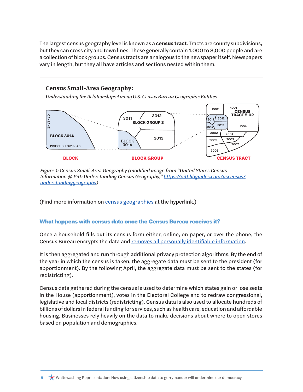The largest census geography level is known as a **census tract**. Tracts are county subdivisions, but they can cross city and town lines. These generally contain 1,000 to 8,000 people and are a collection of block groups. Census tracts are analogous to the newspaper itself. Newspapers vary in length, but they all have articles and sections nested within them.



*Figure 1: Census Small-Area Geography (modified image from "United States Census Information @ Pitt: Understanding Census Geography," [https://pitt.libguides.com/uscensus/](https://pitt.libguides.com/uscensus/understandinggeography) [understandinggeography\)](https://pitt.libguides.com/uscensus/understandinggeography)*

(Find more information on [census geographies](https://pitt.libguides.com/uscensus/understandinggeography) at the hyperlink.)

## <span id="page-7-0"></span>**What happens with census data once the Census Bureau receives it?**

Once a household fills out its census form either, online, on paper, or over the phone, the Census Bureau encrypts the data and [removes all personally identifiable information.](#page-21-0)

It is then aggregated and run through additional privacy protection algorithms. By the end of the year in which the census is taken, the aggregate data must be sent to the president (for apportionment). By the following April, the aggregate data must be sent to the states (for redistricting).

Census data gathered during the census is used to determine which states gain or lose seats in the House (apportionment), votes in the Electoral College and to redraw congressional, legislative and local districts (redistricting). Census data is also used to allocate hundreds of billions of dollars in federal funding for services, such as health care, education and affordable housing. Businesses rely heavily on the data to make decisions about where to open stores based on population and demographics.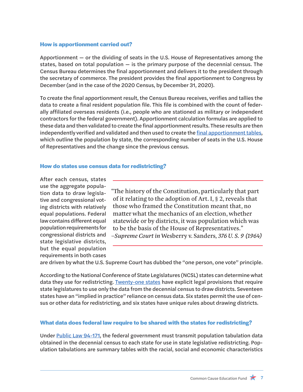#### <span id="page-8-0"></span>**How is apportionment carried out?**

Apportionment — or the dividing of seats in the U.S. House of Representatives among the states, based on total population — is the primary purpose of the decennial census. The Census Bureau determines the final apportionment and delivers it to the president through the secretary of commerce. The president provides the final apportionment to Congress by December (and in the case of the 2020 Census, by December 31, 2020).

To create the final apportionment result, the Census Bureau receives, verifies and tallies the data to create a final resident population file. This file is combined with the count of federally affiliated overseas residents (i.e., people who are stationed as military or independent contractors for the federal government). Apportionment calculation formulas are applied to these data and then validated to create the final apportionment results. These results are then independently verified and validated and then used to create the [final apportionment tables](https://www.census.gov/population/apportionment/data/2010_apportionment_results.html), which outline the population by state, the corresponding number of seats in the U.S. House of Representatives and the change since the previous census.

#### <span id="page-8-1"></span>**How do states use census data for redistricting?**

After each census, states use the aggregate population data to draw legislative and congressional voting districts with relatively equal populations. Federal law contains different equal population requirements for congressional districts and state legislative districts, but the equal population requirements in both cases

"The history of the Constitution, particularly that part of it relating to the adoption of Art. I, § 2, reveals that those who framed the Constitution meant that, no matter what the mechanics of an election, whether statewide or by districts, it was population which was to be the basis of the House of Representatives." –*Supreme Court in* Wesberry v. Sanders*, 376 U. S. 9 (1964)*

are driven by what the U.S. Supreme Court has dubbed the "one person, one vote" principle.

According to the National Conference of State Legislatures (NCSL) states can determine what data they use for redistricting. [Twenty-one states](http://www.ncsl.org/research/redistricting/redistricting-and-use-of-census-data.aspx) have explicit legal provisions that require state legislatures to use only the data from the decennial census to draw districts. Seventeen states have an "implied in practice" reliance on census data. Six states permit the use of census or other data for redistricting, and six states have unique rules about drawing districts.

#### <span id="page-8-2"></span>**What data does federal law require to be shared with the states for redistricting?**

Under [Public Law 94-171](http://uscode.house.gov/statutes/pl/94/171.pdf), the federal government must transmit population tabulation data obtained in the decennial census to each state for use in state legislative redistricting. Population tabulations are summary tables with the racial, social and economic characteristics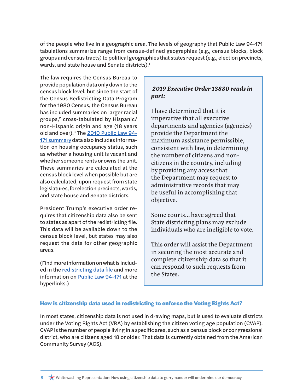<span id="page-9-1"></span>of the people who live in a geographic area. The levels of geography that Public Law 94-171 tabulations summarize range from census-defined geographies (e.g., census blocks, block groups and census tracts) to political geographies that states request (e.g., election precincts, wards, and state house and Senate districts).<sup>[1](#page-25-0)</sup>

The law requires the Census Bureau to provide population data only down to the census block level, but since the start of the Census Redistricting Data Program for the 1980 Census, the Census Bureau has included summaries on larger racial groups,<sup>2</sup> cross-tabulated by Hispanic/ non-Hispanic origin and age (18 years old and over).<sup>3</sup> The 2010 Public Law 94-171 summary data also includes information on housing occupancy status, such as whether a housing unit is vacant and whether someone rents or owns the unit. These summaries are calculated at the census block level when possible but are also calculated, [upon request from state](https://www.census.gov/data/datasets/2010/dec/redistricting-file-pl-94-171.html) [legislatures](https://www.census.gov/data/datasets/2010/dec/redistricting-file-pl-94-171.html), for election precincts, wards, and state house and Senate districts.

President Trump's executive order requires that citizenship data also be sent to states as apart of the redistricting file. This data will be available down to the census block level, but states may also request the data for other geographic areas.

(Find more information on what is included in the [redistricting data file](https://www.census.gov/data/datasets/2010/dec/redistricting-file-pl-94-171.html) and more information on [Public Law 94-171](http://uscode.house.gov/statutes/pl/94/171.pdf) at the hyperlinks.)

## *2019 Executive Order 13880 reads in part:*

I have determined that it is imperative that all executive departments and agencies (agencies) provide the Department the maximum assistance permissible, consistent with law, in determining the number of citizens and noncitizens in the country, including by providing any access that the Department may request to administrative records that may be useful in accomplishing that objective.

Some courts... have agreed that State districting plans may exclude individuals who are ineligible to vote.

This order will assist the Department in securing the most accurate and complete citizenship data so that it can respond to such requests from the States.

#### <span id="page-9-0"></span>**How is citizenship data used in redistricting to enforce the Voting Rights Act?**

In most states, citizenship data is not used in drawing maps, but is used to evaluate districts under the Voting Rights Act (VRA) by establishing the citizen voting age population (CVAP). CVAP is the number of people living in a specific area, such as a census block or congressional district, who are citizens aged 18 or older. That data is currently obtained from the American Community Survey (ACS).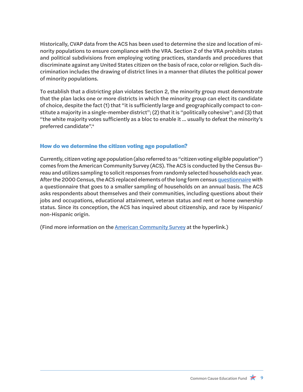<span id="page-10-1"></span>Historically, CVAP data from the ACS has been used to determine the size and location of minority populations to ensure compliance with the VRA. Section 2 of the VRA prohibits states and political subdivisions from employing voting practices, standards and procedures that discriminate against any United States citizen on the basis of race, color or religion. Such discrimination includes the drawing of district lines in a manner that dilutes the political power of minority populations.

To establish that a districting plan violates Section 2, the minority group must demonstrate that the plan lacks one or more districts in which the minority group can elect its candidate of choice, despite the fact (1) that "it is sufficiently large and geographically compact to constitute a majority in a single-member district"; (2) that it is "politically cohesive"; and (3) that "the white majority votes sufficiently as a bloc to enable it ... usually to defeat the minority's preferred candidate"[.4](#page-25-0)

#### <span id="page-10-0"></span>**How do we determine the citizen voting age population?**

Currently, citizen voting age population (also referred to as "citizen voting eligible population") comes from the American Community Survey (ACS). The ACS is conducted by the Census Bureau and utilizes sampling to solicit responses from randomly selected households each year. After the 2000 Census, the ACS replaced elements of the long form census [questionnaire](https://www.census.gov/history/www/through_the_decades/questionnaires/) with a questionnaire that goes to a smaller sampling of households on an annual basis. The ACS asks respondents about themselves and their communities, including questions about their jobs and occupations, educational attainment, veteran status and rent or home ownership status. Since its conception, the ACS has inquired about citizenship, and race by Hispanic/ non-Hispanic origin.

(Find more information on the [American Community Survey at the hyperlink.\)](https://www.census.gov/programs-surveys/acs)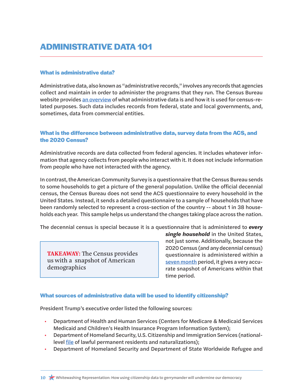# **ADMINISTRATIVE DATA 101**

#### <span id="page-11-0"></span>**What is administrative data?**

Administrative data, also known as "administrative records," involves any records that agencies collect and maintain in order to administer the programs that they run. The Census Bureau website provides [an overview](https://www.census.gov/about/what/admin-data.html) of what administrative data is and how it is used for census-related purposes. Such data includes records from federal, state and local governments, and, sometimes, data from commercial entities.

#### <span id="page-11-1"></span>**What is the difference between administrative data, survey data from the ACS, and the 2020 Census?**

Administrative records are data collected from federal agencies. It includes whatever information that agency collects from people who interact with it. It does not include information from people who have not interacted with the agency.

In contrast, the American Community Survey is a questionnaire that the Census Bureau sends to some households to get a picture of the general population. Unlike the official decennial census, the Census Bureau does not send the ACS questionnaire to every household in the United States. Instead, it sends a detailed questionnaire to a sample of households that have been randomly selected to represent a cross-section of the country -- about 1 in 38 households each year. This sample helps us understand the changes taking place across the nation.

The decennial census is special because it is a questionnaire that is administered to *every* 

**TAKEAWAY:** The Census provides us with a snapshot of American demographics

*single household* in the United States, not just some. Additionally, because the 2020 Census (and any decennial census) questionnaire is administered within a seven month period, it gives a very accurate snapshot of Americans within that time period.

#### <span id="page-11-2"></span>**What sources of administrative data will be used to identify citizenship?**

President Trump's executive order listed the following sources:

- Department of Health and Human Services (Centers for Medicare & Medicaid Services Medicaid and Children's Health Insurance Program Information System);
- Department of Homeland Security, U.S. Citizenship and Immigration Services (nationallevel <u>file</u> of lawful permanent residents and naturalizations);
- Department of Homeland Security and Department of State Worldwide Refugee and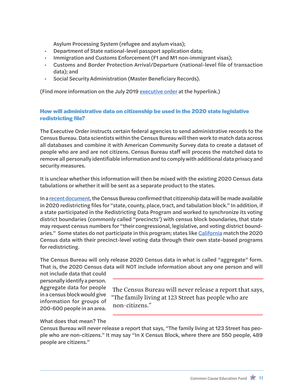Asylum Processing System (refugee and asylum visas);

- Department of State national-level passport application data;
- Immigration and Customs Enforcement (F1 and M1 non-immigrant visas);
- Customs and Border Protection Arrival/Departure (national-level file of transaction data); and
- Social Security Administration (Master Beneficiary Records).

(Find more information on the July 2019 [executive order](https://www.federalregister.gov/documents/2019/07/16/2019-15222/collecting-information-about-citizenship-status-in-connection-with-the-decennial-census) at the hyperlink.)

## <span id="page-12-0"></span>**How will administrative data on citizenship be used in the 2020 state legislative redistricting file?**

The Executive Order instructs certain federal agencies to send administrative records to the Census Bureau. Data scientists within the Census Bureau will then work to match data across all databases and combine it with American Community Survey data to create a dataset of people who are and are not citizens. Census Bureau staff will process the matched data to remove all personally identifiable information and to comply with additional data privacy and security measures.

It is unclear whether this information will then be mixed with the existing 2020 Census data tabulations or whether it will be sent as a separate product to the states.

In a recent document, the Census Bureau confirmed that citizenship data will be made available in 2020 redistricting files for "state, county, place, tract, and tabulation block." In addition, if a state participated in the Redistricting Data Program and worked to synchronize its voting district boundaries (commonly called "precincts') with census block boundaries, that state may request census numbers for "their congressional, legislative, and voting district bound-aries." Some states do not participate in this program; states like [California](https://statewidedatabase.org/) match the 2020 Census data with their precinct-level voting data through their own state-based programs for redistricting.

The Census Bureau will only release 2020 Census data in what is called "aggregate" form. That is, the 2020 Census data will NOT include information about any one person and will

not include data that could personally identify a person. Aggregate data for people in a census block would give information for groups of 200-600 people in an area.

The Census Bureau will never release a report that says, "The family living at 123 Street has people who are non-citizens."

## What does that mean? The

Census Bureau will never release a report that says, "The family living at 123 Street has people who are non-citizens." It may say "In X Census Block, where there are 550 people, 489 people are citizens."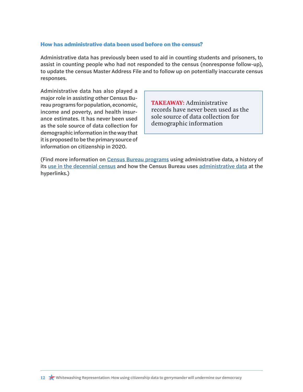#### <span id="page-13-0"></span>**How has administrative data been used before on the census?**

Administrative data has previously been used to aid in counting students and prisoners, to assist in counting people who had not responded to the census (nonresponse follow-up), to update the census Master Address File and to follow up on potentially inaccurate census responses.

Administrative data has also played a major role in assisting other Census Bureau programs for population, economic, income and poverty, and health insurance estimates. It has never been used as the sole source of data collection for demographic information in the way that it is proposed to be the primary source of information on citizenship in 2020.

**TAKEAWAY:** Administrative records have never been used as the sole source of data collection for demographic information

(Find more information on [Census Bureau programs](https://www.census.gov/content/dam/Census/about/about-the-bureau/adrm/data-linkage/Data%20Acquisitions%20Frequently%20Asked%20Questions.pdf) using administrative data, a history of its [use in the decennial census](https://www.gao.gov/assets/690/686099.pdf) and how the Census Bureau uses [administrative data](https://www.census.gov/about/what/admin-data.html) at the hyperlinks.)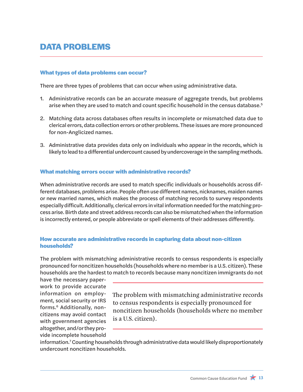# <span id="page-14-3"></span>**DATA PROBLEMS**

#### <span id="page-14-0"></span>**What types of data problems can occur?**

There are three types of problems that can occur when using administrative data.

- 1. Administrative records can be an accurate measure of aggregate trends, but problems arise when they are used to match and count specific household in the census database.<sup>5</sup>
- 2. Matching data across databases often results in incomplete or mismatched data due to clerical errors, data collection errors or other problems. These issues are more pronounced for non-Anglicized names.
- 3. Administrative data provides data only on individuals who appear in the records, which is likely to lead to a differential undercount caused by undercoverage in the sampling methods.

#### <span id="page-14-1"></span>**What matching errors occur with administrative records?**

When administrative records are used to match specific individuals or households across different databases, problems arise. People often use different names, nicknames, maiden names or new married names, which makes the process of matching records to survey respondents especially difficult. Additionally, clerical errors in vital information needed for the matching process arise. Birth date and street address records can also be mismatched when the information is incorrectly entered, or people abbreviate or spell elements of their addresses differently.

#### <span id="page-14-2"></span>**How accurate are administrative records in capturing data about non-citizen households?**

The problem with mismatching administrative records to census respondents is especially pronounced for noncitizen households (households where no member is a U.S. citizen). These households are the hardest to match to records because many noncitizen immigrants do not

have the necessary paperwork to provide accurate information on employment, social security or IRS forms.[6](#page-25-0) Additionally, noncitizens may avoid contact with government agencies altogether, and/or they provide incomplete household

The problem with mismatching administrative records to census respondents is especially pronounced for noncitizen households (households where no member is a U.S. citizen).

information.[7](#page-25-0) Counting households through administrative data would likely disproportionately undercount noncitizen households.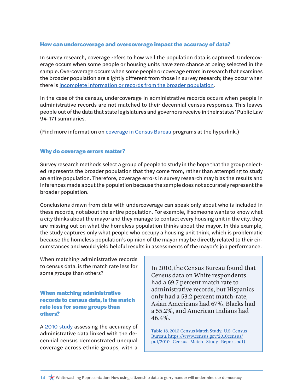#### <span id="page-15-0"></span>**How can undercoverage and overcoverage impact the accuracy of data?**

In survey research, coverage refers to how well the population data is captured. Undercoverage occurs when some people or housing units have zero chance at being selected in the sample. Overcoverage occurs when some people orcoverage errors in research that examines the broader population are slightly different from those in survey research; they occur when there is incomplete information or records from the broader population.

In the case of the census, undercoverage in administrative records occurs when people in administrative records are not matched to their decennial census responses. This leaves people out of the data that state legislatures and governors receive in their states' Public Law 94-171 summaries.

(Find more information on [coverage in Census Bureau](https://www.census.gov/programs-surveys/decennial-census/about/coverage-measurement.html) programs at the hyperlink.)

#### <span id="page-15-1"></span>**Why do coverage errors matter?**

Survey research methods select a group of people to study in the hope that the group selected represents the broader population that they come from, rather than attempting to study an entire population. Therefore, coverage errors in survey research may bias the results and inferences made about the population because the sample does not accurately represent the broader population.

Conclusions drawn from data with undercoverage can speak only about who is included in these records, not about the entire population. For example, if someone wants to know what a city thinks about the mayor and they manage to contact every housing unit in the city, they are missing out on what the homeless population thinks about the mayor. In this example, the study captures only what people who occupy a housing unit think, which is problematic because the homeless population's opinion of the mayor may be directly related to their circumstances and would yield helpful results in assessments of the mayor's job performance.

When matching administrative records to census data, is the match rate less for some groups than others?

<span id="page-15-2"></span>**When matching administrative records to census data, is the match rate less for some groups than others?** 

A [2010 study](https://www.census.gov/2010census/pdf/2010_Census_Match_Study_Report.pdf) assessing the accuracy of administrative data linked with the decennial census demonstrated unequal coverage across ethnic groups, with a

In 2010, the Census Bureau found that Census data on White respondents had a 69.7 percent match rate to administrative records, but Hispanics only had a 53.2 percent match-rate, Asian Americans had 67%, Blacks had a 55.2%, and American Indians had 46.4%.

[Table 18. 2010 Census Match Study. U.S. Census](Table 18. 2010 Census Match Study.  U.S. Census Bureau. https://www.census.gov/2010census/pdf/2010_C)  [Bureau. https://www.census.gov/2010census/](Table 18. 2010 Census Match Study.  U.S. Census Bureau. https://www.census.gov/2010census/pdf/2010_C) [pdf/2010\\_Census\\_Match\\_Study\\_Report.pdf\)](Table 18. 2010 Census Match Study.  U.S. Census Bureau. https://www.census.gov/2010census/pdf/2010_C)

14 **X** Whitewashing Representation: How using citizenship data to gerrymander will undermine our democracy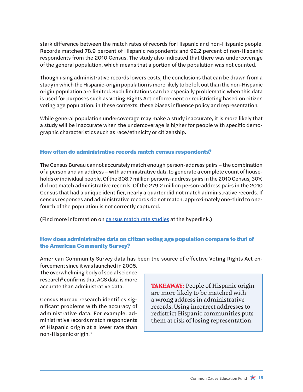<span id="page-16-2"></span>stark difference between the match rates of records for Hispanic and non-Hispanic people. Records matched 78.9 percent of Hispanic respondents and 92.2 percent of non-Hispanic respondents from the 2010 Census. The study also indicated that there was undercoverage of the general population, which means that a portion of the population was not counted.

Though using administrative records lowers costs, the conclusions that can be drawn from a study in which the Hispanic-origin population is more likely to be left out than the non-Hispanic origin population are limited. Such limitations can be especially problematic when this data is used for purposes such as Voting Rights Act enforcement or redistricting based on citizen voting age population; in these contexts, these biases influence policy and representation.

While general population undercoverage may make a study inaccurate, it is more likely that a study will be inaccurate when the undercoverage is higher for people with specific demographic characteristics such as race/ethnicity or citizenship.

#### <span id="page-16-0"></span>**How often do administrative records match census respondents?**

The Census Bureau cannot accurately match enough person-address pairs – the combination of a person and an address – with administrative data to generate a complete count of households or individual people. Of the 308.7 million persons-address pairs in the 2010 Census, 30% did not match administrative records. Of the 279.2 million person-address pairs in the 2010 Census that had a unique identifier, nearly a quarter did not match administrative records. If census responses and administrative records do not match, approximately one-third to onefourth of the population is not correctly captured.

(Find more information on [census match rate studies](https://www.census.gov/library/visualizations/2012/comm/2010_census_match_study.html) at the hyperlink.)

## <span id="page-16-1"></span>**How does administrative data on citizen voting age population compare to that of the American Community Survey?**

American Community Survey data has been the source of effective Voting Rights Act enforcement since it was launched in 2005.

The overwhelming body of social science research $^8$  confirms that ACS data is more accurate than administrative data.

Census Bureau research identifies significant problems with the accuracy of administrative data. For example, administrative records match respondents of Hispanic origin at a lower rate than non-Hispanic origin.8

**TAKEAWAY:** People of Hispanic origin are more likely to be matched with a wrong address in administrative records. Using incorrect addresses to redistrict Hispanic communities puts them at risk of losing representation.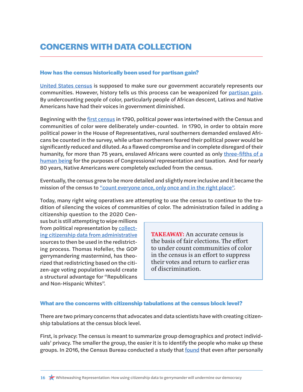# **CONCERNS WITH DATA COLLECTION**

#### <span id="page-17-0"></span>**How has the census historically been used for partisan gain?**

[United States census](https://www.census.gov/) is supposed to make sure our government accurately represents our communities. However, history tells us this process can be weaponized for [partisan gain.](https://www.citylab.com/equity/2018/06/a-brief-history-of-the-us-census/564110/) By undercounting people of color, particularly people of African descent, Latinxs and Native Americans have had their voices in government diminished.

Beginning with the *first census* in 1790, political power was intertwined with the Census and communities of color were deliberately under-counted. In 1790, in order to obtain more political power in the House of Representatives, rural southerners demanded enslaved Africans be counted in the survey, while urban northerners feared their political power would be significantly reduced and diluted. As a flawed compromise and in complete disregard of their humanity, for more than 75 years, enslaved Africans were counted as only [three-fifths of a](https://www.citylab.com/equity/2018/06/a-brief-history-of-the-us-census/564110/) [human being](https://www.citylab.com/equity/2018/06/a-brief-history-of-the-us-census/564110/) for the purposes of Congressional representation and taxation. And for nearly 80 years, Native Americans were completely excluded from the census.

Eventually, the census grew to be more detailed and slightly more inclusive and it became the mission of the census to ["count everyone once, only once and in the right place"](https://www.census.gov/programs-surveys/decennial-census/2020-census.html).

Today, many right wing operatives are attempting to use the census to continue to the tradition of silencing the voices of communities of color. The administration failed in adding a

citizenship question to the 2020 Census but is still attempting to wipe millions from political representation by [collect](#page-11-2)ing citizenship data [from administrative](#page-11-2) sources to then be used in the redistricting process. Thomas Hofeller, the GOP gerrymandering mastermind, has theorized that redistricting based on the citizen-age voting population would create a structural advantage for "Republicans and Non-Hispanic Whites".

**TAKEAWAY:** An accurate census is the basis of fair elections. The effort to under count communities of color in the census is an effort to suppress their votes and return to earlier eras of discrimination.

#### <span id="page-17-1"></span>**What are the concerns with citizenship tabulations at the census block level?**

There are two primary concerns that advocates and data scientists have with creating citizenship tabulations at the census block level.

First, is privacy: The census is meant to summarize group demographics and protect individuals' privacy. The smaller the group, the easier it is to identify the people who make up these groups. In 2016, the Census Bureau conducted a study that [found](https://www.nytimes.com/2018/12/05/upshot/to-reduce-privacy-risks-the-census-plans-to-report-less-accurate-data.html) that even after personally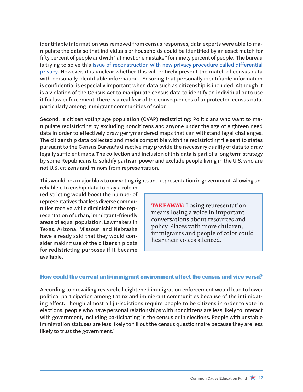identifiable information was removed from census responses, data experts were able to manipulate the data so that individuals or households could be identified by an exact match for fifty percent of people and with "at most one mistake" for ninety percent of people. The bureau is trying to solve this *[issue of reconstruction with new privacy procedure called differential](#page-21-0)* [privacy.](#page-21-0) However, it is unclear whether this will entirely prevent the match of census data with personally identifiable information. Ensuring that personally identifiable information is confidential is especially important when data such as citizenship is included. Although it is a violation of the Census Act to manipulate census data to identify an individual or to use it for law enforcement, there is a real fear of the consequences of unprotected census data, particularly among immigrant communities of color.

Second, is citizen voting age population (CVAP) redistricting: Politicians who want to manipulate redistricting by excluding noncitizens and anyone under the age of eighteen need data in order to effectively draw gerrymandered maps that can withstand legal challenges. The citizenship data collected and made compatible with the redistricting file sent to states pursuant to the Census Bureau's directive may provide the necessary quality of data to draw legally sufficient maps. The collection and inclusion of this data is part of a long term strategy by some Republicans to solidify partisan power and exclude people living in the U.S. who are not U.S. citizens and minors from representation.

This would be a major blow to our voting rights and representation in government. Allowing un-

reliable citizenship data to play a role in redistricting would boost the number of representatives that less diverse communities receive while diminishing the representation of urban, immigrant-friendly areas of equal population. Lawmakers in Texas, Arizona, Missouri and Nebraska have already said that they would consider making use of the citizenship data for redistricting purposes if it became available.

**TAKEAWAY:** Losing representation means losing a voice in important conversations about resources and policy. Places with more children, immigrants and people of color could hear their voices silenced.

#### <span id="page-18-0"></span>**How could the current anti-immigrant environment affect the census and vice versa?**

According to prevailing research, heightened immigration enforcement would lead to lower political participation among Latinx and immigrant communities because of the intimidating effect. Though almost all jurisdictions require people to be citizens in order to vote in elections, people who have personal relationships with noncitizens are less likely to interact with government, including participating in the census or in elections. People with unstable immigration statuses are less likely to fill out the census questionnaire because they are less likely to trust the government.<sup>10</sup>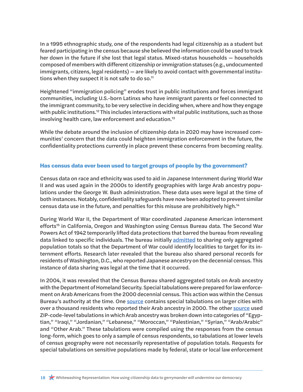In a 1995 ethnographic study, one of the respondents had legal citizenship as a student but feared participating in the census because she believed the information could be used to track her down in the future if she lost that legal status. Mixed-status households — households composed of members with different citizenship or immigration statuses (e.g., undocumented immigrants, citizens, legal residents) — are likely to avoid contact with governmental institutions when they suspect it is not safe to do so.<sup>11</sup>

Heightened "immigration policing" erodes trust in public institutions and forces immigrant communities, including U.S.-born Latinxs who have immigrant parents or feel connected to the immigrant community, to be very selective in deciding when, where and how they engage with public institutions.<sup>12</sup> This includes interactions with vital public institutions, such as those involving health care, law enforcement and education.13

While the debate around the inclusion of citizenship data in 2020 may have increased communities' concern that the data could heighten immigration enforcement in the future, the confidentiality protections currently in place prevent these concerns from becoming reality.

#### <span id="page-19-0"></span>**Has census data ever been used to target groups of people by the government?**

Census data on race and ethnicity was used to aid in Japanese Internment during World War II and was used again in the 2000s to identify geographies with large Arab ancestry populations under the George W. Bush administration. These data uses were legal at the time of both instances. Notably, confidentiality safeguards have now been adopted to prevent similar census data use in the future, and penalties for this misuse are prohibitively high.14

During World War II, the Department of War coordinated Japanese American internment efforts<sup>15</sup> in California, Oregon and Washington using Census Bureau data. The Second War Powers Act of 1942 temporarily lifted data protections that barred the bureau from revealing data linked to specific individuals. The bureau initially admitted to sharing only aggregated population totals so that the Department of War could identify localities to target for its internment efforts. Research later revealed that the bureau also shared personal records for residents of Washington, D.C., who reported Japanese ancestry on the decennial census. This instance of data sharing was legal at the time that it occurred.

In 2004, it was revealed that the Census Bureau shared aggregated totals on Arab ancestry with the Department of Homeland Security. Special tabulations were prepared for law enforcement on Arab Americans from the 2000 decennial census. This action was within the Census Bureau's authority at the time. One [source](https://epic.org/privacy/census/foia/tab_1.pdf) contains special tabulations on larger cities with over a thousand residents who reported their Arab ancestry in 2000. The other [source](https://epic.org/privacy/census/foia/tab_2.pdf) used ZIP-code-level tabulations in which Arab ancestry was broken down into categories of "Egyptian," "Iraqi," "Jordanian," "Lebanese," "Moroccan," "Palestinian," "Syrian," "Arab/Arabic" and "Other Arab." These tabulations were compiled using the responses from the census long-form, which goes to only a sample of census respondents, so tabulations at lower levels of census geography were not necessarily representative of population totals. Requests for special tabulations on sensitive populations made by federal, state or local law enforcement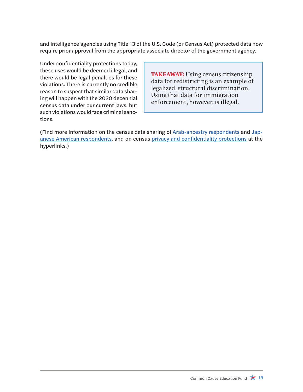and intelligence agencies using Title 13 of the U.S. Code (or Census Act) protected data now require prior approval from the appropriate associate director of the government agency.

Under confidentiality protections today, these uses would be deemed illegal, and there would be legal penalties for these violations. There is currently no credible reason to suspect that similar data sharing will happen with the 2020 decennial census data under our current laws, but such violations would face criminal sanctions.

**TAKEAWAY:** Using census citizenship data for redistricting is an example of legalized, structural discrimination. Using that data for immigration enforcement, however, is illegal.

(Find more information on the census data sharing [of Arab-ancestry respondents](https://epic.org/privacy/census/foia/) and [Jap](https://censuscounts.org/wp-content/uploads/2019/03/AAJC-LCCR-Census-Confidentiality-Factsheet-FINAL-4.26.2018.pdf)[anese American respondents,](https://censuscounts.org/wp-content/uploads/2019/03/AAJC-LCCR-Census-Confidentiality-Factsheet-FINAL-4.26.2018.pdf) and on census privacy and confidentiality protections at the hyperlinks.)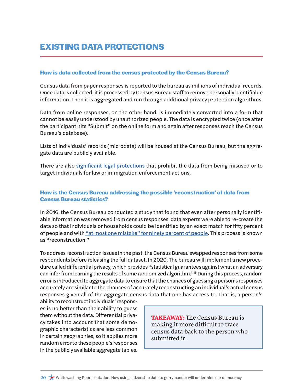# **EXISTING DATA PROTECTIONS**

#### <span id="page-21-0"></span>**How is data collected from the census protected by the Census Bureau?**

Census data from paper responses is reported to the bureau as millions of individual records. Once data is collected, it is processed by Census Bureau staff to remove personally identifiable information. Then it is aggregated and run through additional privacy protection algorithms.

Data from online responses, on the other hand, is immediately converted into a form that cannot be easily understood by unauthorized people. The data is encrypted twice (once after the participant hits "Submit" on the online form and again after responses reach the Census Bureau's database).

Lists of individuals' records (microdata) will be housed at the Census Bureau, but the aggregate data are publicly available.

There are also [significant legal protections](#page-22-0) that prohibit the data from being misused or to target individuals for law or immigration enforcement actions.

## <span id="page-21-1"></span>**How is the Census Bureau addressing the possible 'reconstruction' of data from Census Bureau statistics?**

In 2016, the Census Bureau conducted a study that found that even after personally identifiable information was removed from census responses, data experts were able to re-create the data so that individuals or households could be identified by an exact match for fifty percent of people and with ["at most one mistake" for ninety percent of people.](https://www.nytimes.com/2018/12/05/upshot/to-reduce-privacy-risks-the-census-plans-to-report-less-accurate-data.html) This process is known as "reconstruction."

To address reconstruction issues in the past, the Census Bureau swapped responses from some respondents before releasing the full dataset. In 2020, The bureau will implement a new procedure called differential privacy, which provides "statistical guarantees against what an adversary can infer from learning the results of some randomized algorithm."16 During this process, random error is introduced to aggregate data to ensure that the chances of guessing a person's responses accurately are similar to the chances of accurately reconstructing an individual's actual census responses given all of the aggregate census data that one has access to. That is, a person's

ability to reconstruct individuals' responses is no better than their ability to guess them without the data. Differential privacy takes into account that some demographic characteristics are less common in certain geographies, so it applies more random error to these people's responses in the publicly available aggregate tables.

**TAKEAWAY:** The Census Bureau is making it more difficult to trace census data back to the person who submitted it.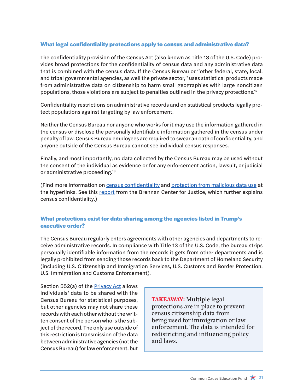## <span id="page-22-0"></span>**What legal confidentiality protections apply to census and administrative data?**

The confidentiality provision of the Census Act (also known as Title 13 of the U.S. Code) provides broad protections for the confidentiality of census data and any administrative data that is combined with the census data. If the Census Bureau or "other federal, state, local, and tribal governmental agencies, as well the private sector," uses statistical products made from administrative data on citizenship to harm small geographies with large noncitizen populations, those violations are subject to penalties outlined in the privacy protections.<sup>17</sup>

Confidentiality restrictions on administrative records and on statistical products legally protect populations against targeting by law enforcement.

Neither the Census Bureau nor anyone who works for it may use the information gathered in the census or disclose the personally identifiable information gathered in the census under penalty of law. Census Bureau employees are required to swear an oath of confidentiality, and anyone outside of the Census Bureau cannot see individual census responses.

Finally, and most importantly, no data collected by the Census Bureau may be used without the consent of the individual as evidence or for any enforcement action, lawsuit, or judicial or administrative proceeding.18

(Find more information on [census confidentiality](https://www.brennancenter.org/publication/federal-laws-protect-census-confidentiality) and [protection from malicious data use](https://www2.census.gov/foia/ds_policies/ds001_appendices.pdf) at the hyperlinks. See this [report](https://www.brennancenter.org/sites/default/files/publications/2019_02_Census%20Brief_v4.pdf) from the Brennan Center for Justice, which further explains census confidentiality.)

## <span id="page-22-1"></span>**What protections exist for data sharing among the agencies listed in Trump's executive order?**

The Census Bureau regularly enters agreements with other agencies and departments to receive administrative records. In compliance with Title 13 of the U.S. Code, the bureau strips personally identifiable information from the records it gets from other departments and is legally prohibited from sending those records back to the Department of Homeland Security (including U.S. Citizenship and Immigration Services, U.S. Customs and Border Protection, U.S. Immigration and Customs Enforcement).

Section 552(a) of the **[Privacy Act](http://www.osec.doc.gov/opog/privacy/Memorandums/Privacy_Act-1974-USC552A.pdf) allows** individuals' data to be shared with the Census Bureau for statistical purposes, but other agencies may not share these records with each other without the written consent of the person who is the subject of the record. The only use outside of this restriction is transmission of the data between administrative agencies (not the Census Bureau) for law enforcement, but

**TAKEAWAY:** Multiple legal protections are in place to prevent census citizenship data from being used for immigration or law enforcement. The data is intended for redistricting and influencing policy and laws.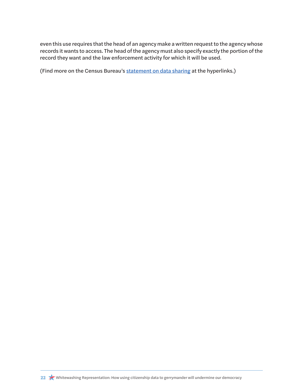even this use requires that the head of an agency make a written request to the agency whose records it wants to access. The head of the agency must also specify exactly the portion of the record they want and the law enforcement activity for which it will be used.

(Find more on the Census Bureau's [statement on data sharing](https://www.census.gov/newsroom/press-releases/2019/data-sharing-agreements.html) at the hyperlinks.)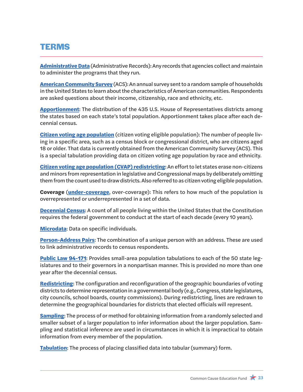# **TERMS**

**Administrative Data** (Administrative Records): Any records that agencies collect and maintain to administer the programs that they run.

**American Community Survey** (ACS): An annual survey sent to a random sample of households in the United States to learn about the characteristics of American communities. Respondents are asked questions about their income, citizenship, race and ethnicity, etc.

**[Apportionment](https://www.britannica.com/topic/legislative-apportionment)**: The distribution of the 435 U.S. House of Representatives districts among the states based on each state's total population. Apportionment takes place after each decennial census.

**[Citizen voting age population](https://www.census.gov/programs-surveys/decennial-census/about/voting-rights/cvap.html)** (citizen voting eligible population): The number of people living in a specific area, such as a census block or congressional district, who are citizens aged 18 or older. That data is currently obtained from the American Community Survey (ACS). This is a special tabulation providing data on citizen voting age population by race and ethnicity.

**[Citizen voting age population \(CVAP\) redistricting](https://www.census.gov/programs-surveys/decennial-census/about/voting-rights/cvap.html)**: An effort to let states erase non-citizens and minors from representation in legislative and Congressional maps by deliberately omitting them from the count used to draw districts. Also referred to as citizen voting eligible population.

**Coverage** (**under-coverage**, over-coverage): This refers to how much of the population is overrepresented or underrepresented in a set of data.

**Decennial Census**: A count of all people living within the United States that the Constitution requires the federal government to conduct at the start of each decade (every 10 years).

**Microdata**: Data on specific individuals.

**[Person-Address Pairs](https://www.census.gov/content/dam/Census/library/publications/2012/dec/2010_cpex_247.pdf)**: The combination of a unique person with an address. These are used to link administrative records to census respondents.

**Public Law 94-171**: Provides small-area population tabulations to each of the 50 state legislatures and to their governors in a nonpartisan manner. This is provided no more than one year after the decennial census.

**Redistricting**: The configuration and reconfiguration of the geographic boundaries of voting districts to determine representation in a governmental body (e.g., Congress, state legislatures, city councils, school boards, county commissions). During redistricting, lines are redrawn to determine the geographical boundaries for districts that elected officials will represent.

**[Sampling](https://www.britannica.com/science/sampling-statistics)**: The process of or method for obtaining information from a randomly selected and smaller subset of a larger population to infer information about the larger population. Sampling and statistical inference are used in circumstances in which it is impractical to obtain information from every member of the population.

**Tabulation**: The process of placing classified data into tabular (summary) form.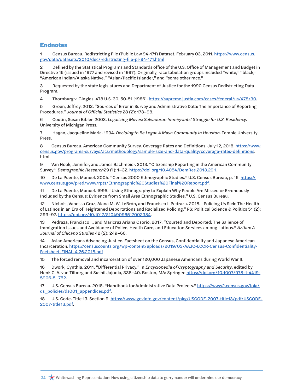## <span id="page-25-0"></span>**Endnotes**

Census Bureau. Redistricting File (Public Law 94-[1](#page-9-1)71) Dataset. February 03, 2011. [https://www.census.](https://www.census.gov/data/datasets/2010/dec/redistricting-file-pl-94-171.html) [gov/data/datasets/2010/dec/redistricting-file-pl-94-171.html](https://www.census.gov/data/datasets/2010/dec/redistricting-file-pl-94-171.html)

[2](#page-9-1) Defined by the Statistical Programs and Standards office of the U.S. Office of Management and Budget in Directive 15 (issued in 1977 and revised in 1997). Originally, race tabulation groups included "white," "black," "American Indian/Alaska Native," "Asian/Pacific Islander," and "some other race."

[3](#page-9-1) Requested by the state legislatures and Department of Justice for the 1990 Census Redistricting Data Program.

[4](#page-10-1) Thornburg v. Gingles, 478 U.S. 30, 50-51 [1986]. [https://supreme.justia.com/cases/federal/us/478/30.](https://supreme.justia.com/cases/federal/us/478/30)

[5](#page-14-3) Groen, Jeffrey. 2012. "Sources of Error in Survey and Administrative Data: The Importance of Reporting Procedures." *Journal of Official Statistics* 28 (2): 173–98.

[6](#page-14-3) Coutin, Susan Bibler. 2003. *Legalizing Moves: Salvadoran Immigrants' Struggle for U.S. Residency*. University of Michigan Press.

[7](#page-14-3) Hagan, Jacqueline Maria. 1994. *Deciding to Be Legal: A Maya Community in Houston*. Temple University Press.

8 Census Bureau. American Community Survey. Coverage Rates and Definitions. July 12, 2018. [https://www.](https://www.census.gov/programs-surveys/acs/methodology/sample-size-and-data-quality/coverage-rates-) [census.gov/programs-surveys/acs/methodology/sample-size-and-data-quality/coverage-rates-definitions.](https://www.census.gov/programs-surveys/acs/methodology/sample-size-and-data-quality/coverage-rates-) html.

[9](#page-16-2) Van Hook, Jennifer, and James Bachmeier. 2013. "Citizenship Reporting in the American Community Survey." *Demographic Research*29 (1): 1–32.<https://doi.org/10.4054/DemRes.2013.29.1.>

10 De La Puente, Manuel. 2004. "Census 2000 Ethnographic Studies." U.S. Census Bureau, p. 15. [https://](https://www.census.gov/pred/www/rpts/Ethnographic%20Studies%20Final%20Report.pdf) [www.census.gov/pred/www/rpts/Ethnographic%20Studies%20Final%20Report.pdf.](https://www.census.gov/pred/www/rpts/Ethnographic%20Studies%20Final%20Report.pdf)

11 De La Puente, Manuel. 1995. "Using Ethnography to Explain Why People Are Missed or Erroneously Included by the Census: Evidence from Small Area Ethnographic Studies." U.S. Census Bureau.

12 Nichols, Vanessa Cruz, Alana M. W. LeBrón, and Francisco I. Pedraza. 2018. "Policing Us Sick: The Health of Latinos in an Era of Heightened Deportations and Racialized Policing." PS: Political Science & Politics 51 (2): 293–97. [https://doi.org/10.1017/S1049096517002384.](https://doi.org/10.1017/S1049096517002384)

13 Pedraza, Francisco I., and Maricruz Ariana Osorio. 2017. "Courted and Deported: The Salience of Immigration Issues and Avoidance of Police, Health Care, and Education Services among Latinos." *Aztlan: A Journal of Chicano Studies* 42 (2): 249–66.

14 Asian Americans Advancing Justice. Factsheet on the Census, Confidentiality and Japanese American Incarceration. [https://censuscounts.org/wp-content/uploads/2019/03/AAJC-LCCR-Census-Confidentiality-](https://censuscounts.org/wp-content/uploads/2019/03/AAJC-LCCR-Census-Confidentiality-Factsheet-FINAL)[Factsheet-FINAL-4.26.2018.pdf](https://censuscounts.org/wp-content/uploads/2019/03/AAJC-LCCR-Census-Confidentiality-Factsheet-FINAL)

15 The forced removal and incarceration of over 120,000 Japanese Americans during World War II.

16 Dwork, Cynthia. 2011. "Differential Privacy." In *Encyclopedia of Cryptography and Security*, edited by Henk C. A. van Tilborg and Sushil Jajodia, 338–40. Boston, MA: Springer. [https://doi.org/10.1007/978-1-4419-](https://doi.org/10.1007/978-1-4419-5906-5_752) [5906-5\\_752](https://doi.org/10.1007/978-1-4419-5906-5_752).

17 U.S. Census Bureau. 2018. "Handbook for Administrative Data Projects." [https://www2.census.gov/foia/](https://www2.census.gov/foia/ds_policies/ds001_appendices.pdf) [ds\\_policies/ds001\\_appendices.pdf.](https://www2.census.gov/foia/ds_policies/ds001_appendices.pdf)

18 U.S. Code. Title 13. Section 9. [https://www.govinfo.gov/content/pkg/USCODE-2007-title13/pdf/USCODE-](https://www.govinfo.gov/content/pkg/USCODE-2007-title13/pdf/USCODE-2007-title13.pdf)[2007-title13.pdf](https://www.govinfo.gov/content/pkg/USCODE-2007-title13/pdf/USCODE-2007-title13.pdf).